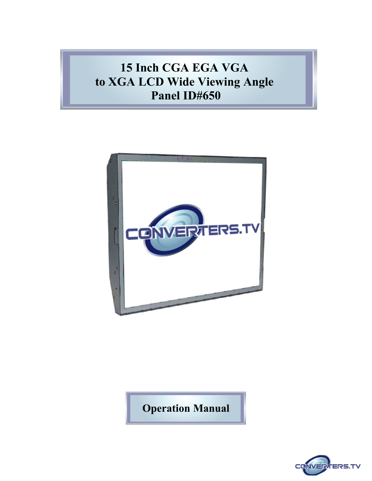# **15 Inch CGA EGA VGA to XGA LCD Wide Viewing Angle Panel ID#650**



**Operation Manual**

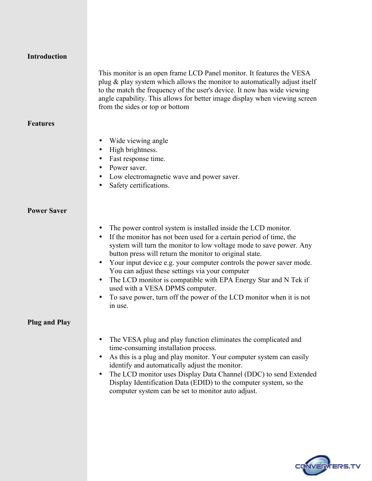| Introduction |  |
|--------------|--|
|--------------|--|

This monitor is an open frame LCD Panel monitor. It features the VESA plug & play system which allows the monitor to automatically adjust itself to the match the frequency of the user's device. It now has wide viewing angle capability. This allows for better image display when viewing screen from the sides or top or bottom

### **Features**

- Wide viewing angle
- High brightness.
- Fast response time.
- Power saver.
- Low electromagnetic wave and power saver.
- Safety certifications.

### **Power Saver**

- The power control system is installed inside the LCD monitor.
- If the monitor has not been used for a certain period of time, the system will turn the monitor to low voltage mode to save power. Any button press will return the monitor to original state.
- Your input device e.g. your computer controls the power saver mode. You can adjust these settings via your computer
- The LCD monitor is compatible with EPA Energy Star and N Tek if used with a VESA DPMS computer.
- To save power, turn off the power of the LCD monitor when it is not in use.

### **Plug and Play**

- The VESA plug and play function eliminates the complicated and time-consuming installation process.
- As this is a plug and play monitor. Your computer system can easily identify and automatically adjust the monitor.
- The LCD monitor uses Display Data Channel (DDC) to send Extended Display Identification Data (EDID) to the computer system, so the computer system can be set to monitor auto adjust.

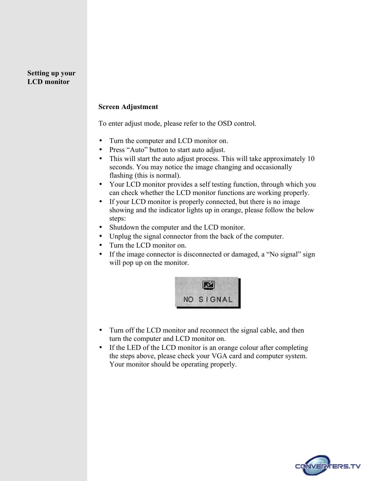### **Setting up your LCD monitor**

### **Screen Adjustment**

To enter adjust mode, please refer to the OSD control.

- Turn the computer and LCD monitor on.
- Press "Auto" button to start auto adjust.
- This will start the auto adjust process. This will take approximately 10 seconds. You may notice the image changing and occasionally flashing (this is normal).
- Your LCD monitor provides a self testing function, through which you can check whether the LCD monitor functions are working properly.
- If your LCD monitor is properly connected, but there is no image showing and the indicator lights up in orange, please follow the below steps:
- Shutdown the computer and the LCD monitor.
- Unplug the signal connector from the back of the computer.
- Turn the LCD monitor on.
- If the image connector is disconnected or damaged, a "No signal" sign will pop up on the monitor.



- Turn off the LCD monitor and reconnect the signal cable, and then turn the computer and LCD monitor on.
- If the LED of the LCD monitor is an orange colour after completing the steps above, please check your VGA card and computer system. Your monitor should be operating properly.

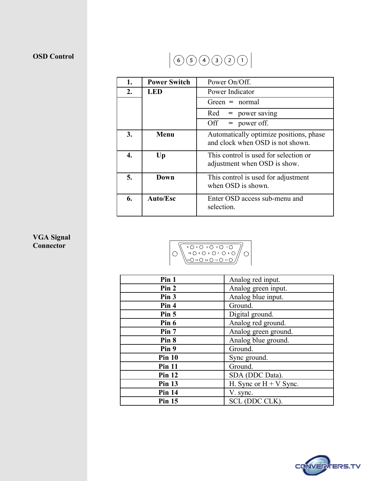# **OSD Control**

# $(6) 5) 4) 3) 2) 1)$

| 1.               | <b>Power Switch</b> | Power On/Off.                                                               |  |
|------------------|---------------------|-----------------------------------------------------------------------------|--|
| $\overline{2}$ . | <b>LED</b>          | Power Indicator                                                             |  |
|                  |                     | $Green = normal$                                                            |  |
|                  |                     | power saving<br>Red<br>=                                                    |  |
|                  |                     | $=$ power off.<br>Off                                                       |  |
| 3.               | Menu                | Automatically optimize positions, phase<br>and clock when OSD is not shown. |  |
| 4.               | Up                  | This control is used for selection or<br>adjustment when OSD is show.       |  |
| 5.               | Down                | This control is used for adjustment<br>when OSD is shown.                   |  |
| 6.               | Auto/Esc            | Enter OSD access sub-menu and<br>selection.                                 |  |

# **VGA Signal Connector**



| Pin 1            | Analog red input.        |
|------------------|--------------------------|
| Pin 2            | Analog green input.      |
| Pin 3            | Analog blue input.       |
| Pin 4            | Ground.                  |
| Pin <sub>5</sub> | Digital ground.          |
| Pin 6            | Analog red ground.       |
| Pin 7            | Analog green ground.     |
| Pin 8            | Analog blue ground.      |
| Pin 9            | Ground.                  |
| <b>Pin 10</b>    | Sync ground.             |
| <b>Pin 11</b>    | Ground.                  |
| <b>Pin 12</b>    | SDA (DDC Data).          |
| <b>Pin 13</b>    | H. Sync or $H + V$ Sync. |
| <b>Pin 14</b>    | V. sync.                 |
| <b>Pin 15</b>    | SCL (DDC CLK).           |

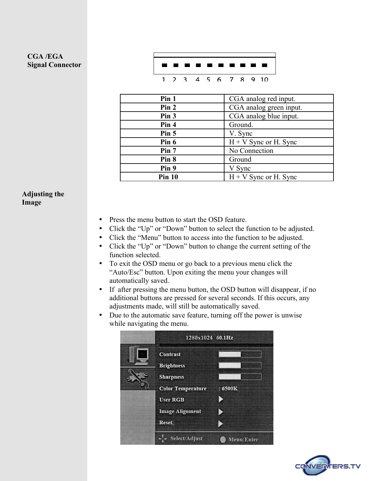# **CGA /EGA Signal Connector**



| Pin 1         | CGA analog red input.   |
|---------------|-------------------------|
| Pin 2         | CGA analog green input. |
| Pin 3         | CGA analog blue input.  |
| Pin 4         | Ground.                 |
| Pin 5         | V. Sync                 |
| Pin 6         | $H + V$ Sync or H. Sync |
| Pin 7         | No Connection           |
| Pin 8         | Ground                  |
| Pin 9         | V Sync                  |
| <b>Pin 10</b> | $H + V$ Sync or H. Sync |

### **Adjusting the Image**

- Press the menu button to start the OSD feature.
- Click the "Up" or "Down" button to select the function to be adjusted.
- Click the "Menu" button to access into the function to be adjusted.
- Click the "Up" or "Down" button to change the current setting of the function selected.
- To exit the OSD menu or go back to a previous menu click the "Auto/Esc" button. Upon exiting the menu your changes will automatically saved.
- If after pressing the menu button, the OSD button will disappear, if no additional buttons are pressed for several seconds. If this occurs, any adjustments made, will still be automatically saved.
- Due to the automatic save feature, turning off the power is unwise while navigating the menu.

| 1280x1024 60.1Hz                                         |              |
|----------------------------------------------------------|--------------|
| <b>Contrast</b><br><b>Brightness</b><br><b>Sharpness</b> |              |
| <b>Color Temperature</b><br><b>User RGB</b>              | : 6500K<br>B |
| <b>Image Alignment</b><br>Reset                          |              |
| Select/Adjust                                            | Menu:Enter   |

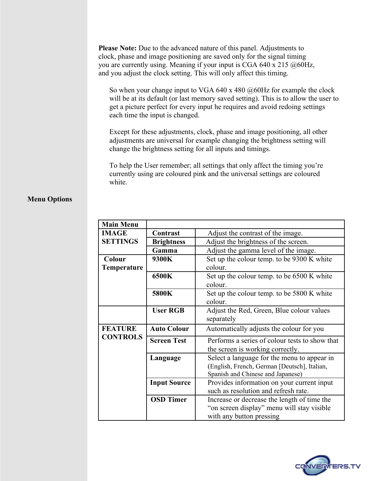**Please Note:** Due to the advanced nature of this panel. Adjustments to clock, phase and image positioning are saved only for the signal timing you are currently using. Meaning if your input is CGA 640 x 215  $@60Hz$ , and you adjust the clock setting. This will only affect this timing.

So when your change input to VGA 640 x 480 @60Hz for example the clock will be at its default (or last memory saved setting). This is to allow the user to get a picture perfect for every input he requires and avoid redoing settings each time the input is changed.

Except for these adjustments, clock, phase and image positioning, all other adjustments are universal for example changing the brightness setting will change the brightness setting for all inputs and timings.

To help the User remember; all settings that only affect the timing you're currently using are coloured pink and the universal settings are coloured white.

### **Menu Options**

| <b>Main Menu</b>   |                                               |                                                |  |
|--------------------|-----------------------------------------------|------------------------------------------------|--|
| <b>IMAGE</b>       | Contrast<br>Adjust the contrast of the image. |                                                |  |
| <b>SETTINGS</b>    | <b>Brightness</b>                             | Adjust the brightness of the screen.           |  |
|                    | Gamma                                         | Adjust the gamma level of the image.           |  |
| Colour             | 9300K                                         | Set up the colour temp. to be 9300 K white     |  |
| <b>Temperature</b> |                                               | colour.                                        |  |
|                    | 6500K                                         | Set up the colour temp. to be 6500 K white     |  |
|                    |                                               | colour.                                        |  |
|                    | 5800K                                         | Set up the colour temp. to be 5800 K white     |  |
|                    |                                               | colour.                                        |  |
|                    | <b>User RGB</b>                               | Adjust the Red, Green, Blue colour values      |  |
|                    |                                               | separately                                     |  |
| <b>FEATURE</b>     | <b>Auto Colour</b>                            | Automatically adjusts the colour for you       |  |
| <b>CONTROLS</b>    | <b>Screen Test</b>                            | Performs a series of colour tests to show that |  |
|                    |                                               | the screen is working correctly.               |  |
|                    | Language                                      | Select a language for the menu to appear in    |  |
|                    |                                               | (English, French, German [Deutsch], Italian,   |  |
|                    |                                               | Spanish and Chinese and Japanese)              |  |
|                    | <b>Input Source</b>                           | Provides information on your current input     |  |
|                    |                                               | such as resolution and refresh rate.           |  |
|                    | <b>OSD Timer</b>                              | Increase or decrease the length of time the    |  |
|                    |                                               | "on screen display" menu will stay visible     |  |
|                    |                                               | with any button pressing                       |  |

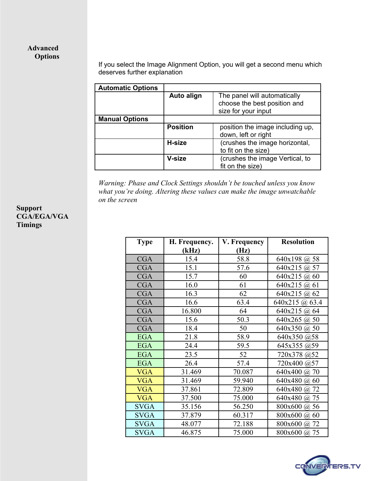# **Advanced Options**

If you select the Image Alignment Option, you will get a second menu which deserves further explanation

| <b>Automatic Options</b> |                 |                                                                                     |
|--------------------------|-----------------|-------------------------------------------------------------------------------------|
|                          | Auto align      | The panel will automatically<br>choose the best position and<br>size for your input |
| <b>Manual Options</b>    |                 |                                                                                     |
|                          | <b>Position</b> | position the image including up,<br>down, left or right                             |
|                          | H-size          | (crushes the image horizontal,<br>to fit on the size)                               |
|                          | V-size          | (crushes the image Vertical, to<br>fit on the size)                                 |

*Warning: Phase and Clock Settings shouldn't be touched unless you know what you're doing. Altering these values can make the image unwatchable on the screen*

| <b>Type</b> | H. Frequency. | V. Frequency | <b>Resolution</b>    |
|-------------|---------------|--------------|----------------------|
|             | (kHz)         | (Hz)         |                      |
| <b>CGA</b>  | 15.4          | 58.8         | 640x198 @ 58         |
| <b>CGA</b>  | 15.1          | 57.6         | 640x215 @ 57         |
| <b>CGA</b>  | 15.7          | 60           | 640x215<br>60<br>(a) |
| <b>CGA</b>  | 16.0          | 61           | $640x215$ (a) 61     |
| <b>CGA</b>  | 16.3          | 62           | $640x215$ (a)<br>62  |
| <b>CGA</b>  | 16.6          | 63.4         | $640x215$ (a) $63.4$ |
| <b>CGA</b>  | 16.800        | 64           | 640x215 @ 64         |
| <b>CGA</b>  | 15.6          | 50.3         | $640x265$ (a) 50     |
| <b>CGA</b>  | 18.4          | 50           | 640x350 @ 50         |
| <b>EGA</b>  | 21.8          | 58.9         | 640x350 @58          |
| <b>EGA</b>  | 24.4          | 59.5         | 645x355 @59          |
| <b>EGA</b>  | 23.5          | 52           | 720x378 @52          |
| <b>EGA</b>  | 26.4          | 57.4         | 720x400 @57          |
| <b>VGA</b>  | 31.469        | 70.087       | 640x400<br>70<br>(a) |
| <b>VGA</b>  | 31.469        | 59.940       | 640x480<br>(a) 60    |
| <b>VGA</b>  | 37.861        | 72.809       | 640x480<br>72<br>(a) |
| <b>VGA</b>  | 37.500        | 75.000       | 640x480<br>75<br>(a) |
| <b>SVGA</b> | 35.156        | 56.250       | 800x600<br>(a) 56    |
| <b>SVGA</b> | 37.879        | 60.317       | 800x600<br>60<br>(a) |
| <b>SVGA</b> | 48.077        | 72.188       | 800x600<br>72<br>(a) |
| <b>SVGA</b> | 46.875        | 75.000       | 800x600 @ 75         |



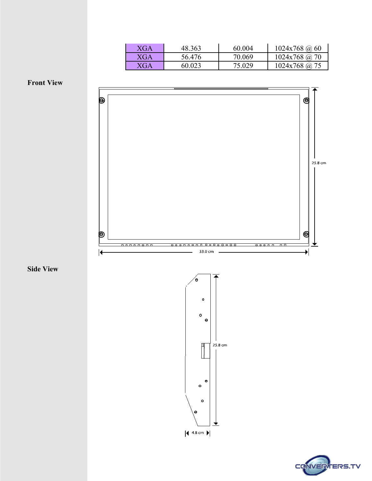| XGA | 48.363 | 60 004 | $1024x768$ (a) 60 |
|-----|--------|--------|-------------------|
| XGA | 56.476 | 70.069 | $1024x768$ (a) 70 |
| XGA | 60.023 | 75.029 | $1024x768$ @ 75   |

**Front View**